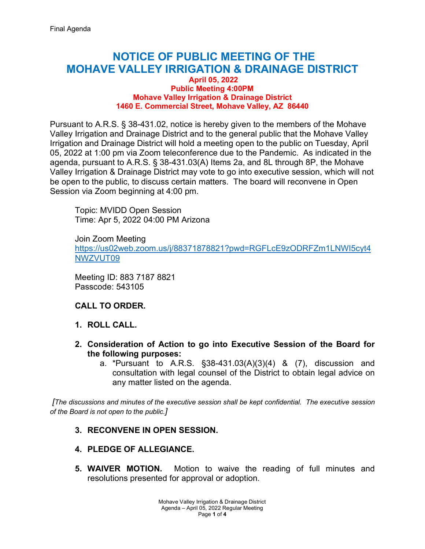# **NOTICE OF PUBLIC MEETING OF THE MOHAVE VALLEY IRRIGATION & DRAINAGE DISTRICT**

#### **April 05, 2022 Public Meeting 4:00PM Mohave Valley Irrigation & Drainage District 1460 E. Commercial Street, Mohave Valley, AZ 86440**

Pursuant to A.R.S. § 38-431.02, notice is hereby given to the members of the Mohave Valley Irrigation and Drainage District and to the general public that the Mohave Valley Irrigation and Drainage District will hold a meeting open to the public on Tuesday, April 05, 2022 at 1:00 pm via Zoom teleconference due to the Pandemic. As indicated in the agenda, pursuant to A.R.S. § 38-431.03(A) Items 2a, and 8L through 8P, the Mohave Valley Irrigation & Drainage District may vote to go into executive session, which will not be open to the public, to discuss certain matters. The board will reconvene in Open Session via Zoom beginning at 4:00 pm.

Topic: MVIDD Open Session Time: Apr 5, 2022 04:00 PM Arizona

Join Zoom Meeting [https://us02web.zoom.us/j/88371878821?pwd=RGFLcE9zODRFZm1LNWI5cyt4](https://us02web.zoom.us/j/88371878821?pwd=RGFLcE9zODRFZm1LNWI5cyt4NWZVUT09) [NWZVUT09](https://us02web.zoom.us/j/88371878821?pwd=RGFLcE9zODRFZm1LNWI5cyt4NWZVUT09) 

Meeting ID: 883 7187 8821 Passcode: 543105

# **CALL TO ORDER.**

- **1. ROLL CALL.**
- **2. Consideration of Action to go into Executive Session of the Board for the following purposes:**
	- a. \*Pursuant to A.R.S. §38-431.03(A)(3)(4) & (7), discussion and consultation with legal counsel of the District to obtain legal advice on any matter listed on the agenda.

*[The discussions and minutes of the executive session shall be kept confidential. The executive session of the Board is not open to the public.]*

# **3. RECONVENE IN OPEN SESSION.**

- **4. PLEDGE OF ALLEGIANCE.**
- **5. WAIVER MOTION.** Motion to waive the reading of full minutes and resolutions presented for approval or adoption.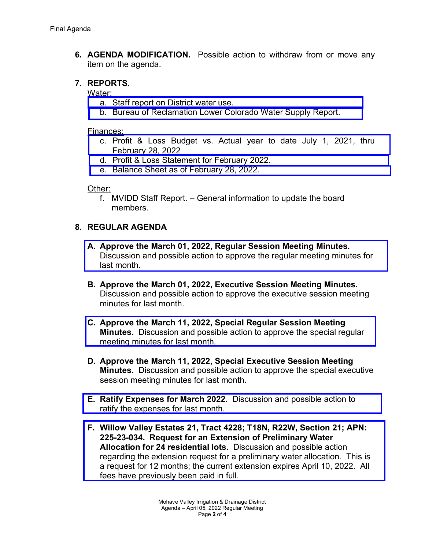**6. AGENDA MODIFICATION.** Possible action to withdraw from or move any item on the agenda.

### **7. REPORTS.**

### Water:

- a. [Staff report on District water use.](https://mvidd.net/wp-content/uploads/2022/03/2022-04-05-Regular-Board-Action-Form-Item-7a-Reports-Water-District-Use.pdf)
- b. [Bureau of Reclamation Lower Colorado Water Supply Report.](https://mvidd.net/wp-content/uploads/2022/03/2022-04-05-Regular-Board-Action-Form-Item-7b-Reports-Water-BOR.pdf)

#### Finances:

- c. [Profit & Loss Budget vs. Actual year to date July 1, 2021, thru](https://mvidd.net/wp-content/uploads/2022/03/2022-04-05-Regular-Board-Action-Form-Item-7c-Reports-Financial-profit-loss-vs-actual.pdf) February 28, 2022
- d. [Profit & Loss Statement for February](https://mvidd.net/wp-content/uploads/2022/03/2022-04-05-Regular-Board-Action-Form-Item-7d-Reports-Financial-profit-loss-statement.pdf) 2022.
- e. [Balance Sheet as of February 28, 2022.](https://mvidd.net/wp-content/uploads/2022/03/2022-04-05-Regular-Board-Action-Form-Item-7e-Reports-Financial-Balance-Sheet.pdf)

### Other:

f. MVIDD Staff Report. – General information to update the board members.

# **8. REGULAR AGENDA**

- **A. Approve the March 01, 2022, Regular Session Meeting Minutes.** [Discussion and possible action to approve the regular meeting minutes](https://mvidd.net/wp-content/uploads/2022/03/2022-04-05-Regular-Board-Action-Form-Item-8A-2022-03-01-Regular-Meeting-Minutes.pdf) for last month.
- **B. Approve the March 01, 2022, Executive Session Meeting Minutes.** Discussion and possible action to approve the executive session meeting minutes for last month.
- **C. [Approve the March 11, 2022, Special Regular Session Meeting](https://mvidd.net/wp-content/uploads/2022/03/2022-04-05-Regular-Board-Action-Form-Item-8C-2022-03-11-Special-Regular-Meeting-Minutes.pdf) Minutes.** Discussion and possible action to approve the special regular meeting minutes for last month.
- **D. Approve the March 11, 2022, Special Executive Session Meeting Minutes.** Discussion and possible action to approve the special executive session meeting minutes for last month.
- **E. Ratify Expenses for March 2022.** [Discussion and possible action to](https://mvidd.net/wp-content/uploads/2022/03/2022-04-05-Regular-Board-Action-Form-Item-8E-Ratify-Expenses-for-March-2022.pdf) ratify the expenses for last month.
- **F. [Willow Valley Estates 21, Tract 4228; T18N, R22W, Section 21; APN:](https://mvidd.net/wp-content/uploads/2022/04/2022-04-05-Regular-Board-Action-Form-Item-8F-Willow-Valley-Estates-21-T4228.pdf) 225-23-034. Request for an Extension of Preliminary Water Allocation for 24 residential lots.** Discussion and possible action regarding the extension request for a preliminary water allocation. This is a request for 12 months; the current extension expires April 10, 2022. All fees have previously been paid in full.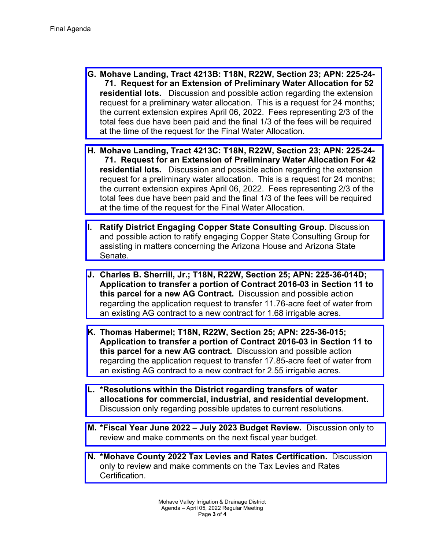- **G. [Mohave Landing, Tract 4213B: T18N, R22W, Section 23; APN:](https://mvidd.net/wp-content/uploads/2022/04/2022-04-05-Regular-Board-Action-Form-Item-8G-Mohave-Landing-T4213B-Extension-Request.pdf) 225-24- 71. Request for an Extension of Preliminary Water Allocation for 52 residential lots.** Discussion and possible action regarding the extension request for a preliminary water allocation. This is a request for 24 months; the current extension expires April 06, 2022. Fees representing 2/3 of the total fees due have been paid and the final 1/3 of the fees will be required at the time of the request for the Final Water Allocation.
- **H. Mohave Landing, Tract 4213C: T18N, R22W, Section 23; APN: 225-24- 71. Request for an Extension of Preliminary Water Allocation For 42 residential lots.** Discussion and possible action regarding the extension request for a preliminary water allocation. This is a request for 24 months; [the current extension expires April 06, 2022. Fees representing 2/3 of the](https://mvidd.net/wp-content/uploads/2022/04/2022-04-05-Regular-Board-Action-Form-Item-8H-Mohave-Landing-T4213C-Extension-Request-1.pdf) total fees due have been paid and the final 1/3 of the fees will be required at the time of the request for the Final Water Allocation.
- **I. Ratify District Engaging Copper State Consulting Group**. Discussion and possible action to ratify engaging Copper State Consulting Group for [assisting in matters concerning the Arizona House and Arizona State](https://mvidd.net/wp-content/uploads/2022/04/2022-04-05-Regular-Board-Action-Form-Item-8I-Copper-State-Consulting-Group.pdf) Senate.
- **J. Charles B. Sherrill, Jr.; T18N, R22W, Section 25; APN: 225-36-014D; Application to transfer a portion of Contract 2016-03 in Section 11 to this parcel for a new AG Contract.** Discussion and possible action [regarding the application request to transfer 11.76-acre feet of water from](https://mvidd.net/wp-content/uploads/2022/04/2022-04-05-Regular-Board-Action-Form-Item-8J-Charles-B.-Sherrill-Jr.-Application-to-transfer-AG-Water-Allocation.pdf) an existing AG contract to a new contract for 1.68 irrigable acres.
- **K. Thomas Habermel; T18N, R22W, Section 25; APN: 225-36-015; Application to transfer a portion of Contract 2016-03 in Section 11 to this parcel for a new AG contract.** Discussion and possible action [regarding the application request to transfer 17.85-acre feet of water from](https://mvidd.net/wp-content/uploads/2022/04/2022-04-05-Regular-Board-Action-Form-Item-8K-Thomas-Habermel-Application-for-AG-Water-Allocation-Transfer.pdf) an existing AG contract to a new contract for 2.55 irrigable acres.
- **L. \*Resolutions within the District regarding transfers of water allocations for commercial, industrial, and residential development.** [Discussion only regarding possible updates to current resolutions.](https://mvidd.net/wp-content/uploads/2022/04/2022-04-05-Regular-Board-Action-Form-Item-8L-Resolutions-regarding-transfers-of-water-allocations-for-comm-ind-res-development.pdf)
- **M. [\\*Fiscal Year June 2022 July](https://mvidd.net/wp-content/uploads/2022/04/2022-04-05-Regular-Board-Action-Form-Item-8M-Fiscal-Year-June-2022-July-2023-Budget-Review.pdf) 2023 Budget Review.** Discussion only to review and make comments on the next fiscal year budget.
- **N. [\\*Mohave County 2022 Tax Levies](https://mvidd.net/wp-content/uploads/2022/04/2022-04-05-Regular-Board-Action-Form-Item-8N-Mohave-County-2022-Tax-Levis-and-Rates-Certification.pdf) and Rates Certification.** Discussion only to review and make comments on the Tax Levies and Rates Certification.